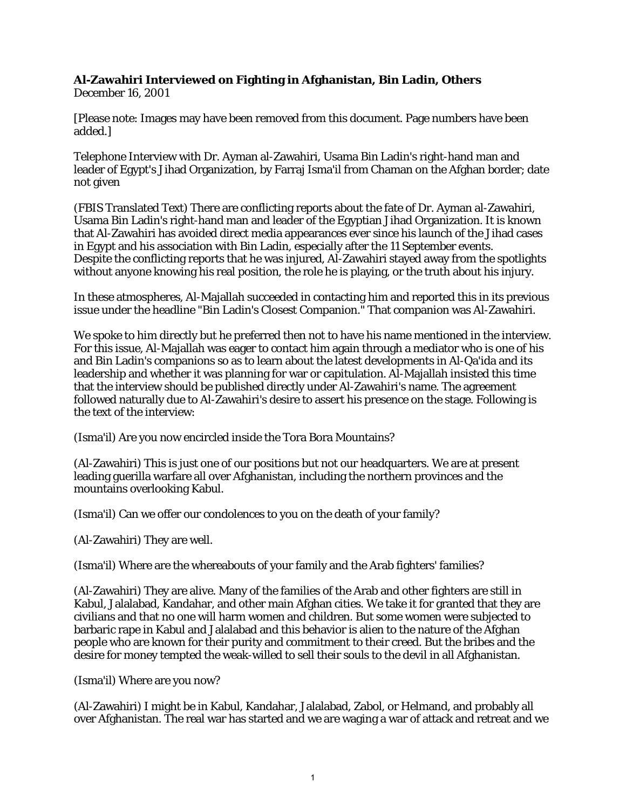## **Al-Zawahiri Interviewed on Fighting in Afghanistan, Bin Ladin, Others**

December 16, 2001

[Please note: Images may have been removed from this document. Page numbers have been added.]

Telephone Interview with Dr. Ayman al-Zawahiri, Usama Bin Ladin's right-hand man and leader of Egypt's Jihad Organization, by Farraj Isma'il from Chaman on the Afghan border; date not given

(FBIS Translated Text) There are conflicting reports about the fate of Dr. Ayman al-Zawahiri, Usama Bin Ladin's right-hand man and leader of the Egyptian Jihad Organization. It is known that Al-Zawahiri has avoided direct media appearances ever since his launch of the Jihad cases in Egypt and his association with Bin Ladin, especially after the 11 September events. Despite the conflicting reports that he was injured, Al-Zawahiri stayed away from the spotlights without anyone knowing his real position, the role he is playing, or the truth about his injury.

In these atmospheres, Al-Majallah succeeded in contacting him and reported this in its previous issue under the headline "Bin Ladin's Closest Companion." That companion was Al-Zawahiri.

We spoke to him directly but he preferred then not to have his name mentioned in the interview. For this issue, Al-Majallah was eager to contact him again through a mediator who is one of his and Bin Ladin's companions so as to learn about the latest developments in Al-Qa'ida and its leadership and whether it was planning for war or capitulation. Al-Majallah insisted this time that the interview should be published directly under Al-Zawahiri's name. The agreement followed naturally due to Al-Zawahiri's desire to assert his presence on the stage. Following is the text of the interview:

(Isma'il) Are you now encircled inside the Tora Bora Mountains?

(Al-Zawahiri) This is just one of our positions but not our headquarters. We are at present leading guerilla warfare all over Afghanistan, including the northern provinces and the mountains overlooking Kabul.

(Isma'il) Can we offer our condolences to you on the death of your family?

(Al-Zawahiri) They are well.

(Isma'il) Where are the whereabouts of your family and the Arab fighters' families?

(Al-Zawahiri) They are alive. Many of the families of the Arab and other fighters are still in Kabul, Jalalabad, Kandahar, and other main Afghan cities. We take it for granted that they are civilians and that no one will harm women and children. But some women were subjected to barbaric rape in Kabul and Jalalabad and this behavior is alien to the nature of the Afghan people who are known for their purity and commitment to their creed. But the bribes and the desire for money tempted the weak-willed to sell their souls to the devil in all Afghanistan.

(Isma'il) Where are you now?

(Al-Zawahiri) I might be in Kabul, Kandahar, Jalalabad, Zabol, or Helmand, and probably all over Afghanistan. The real war has started and we are waging a war of attack and retreat and we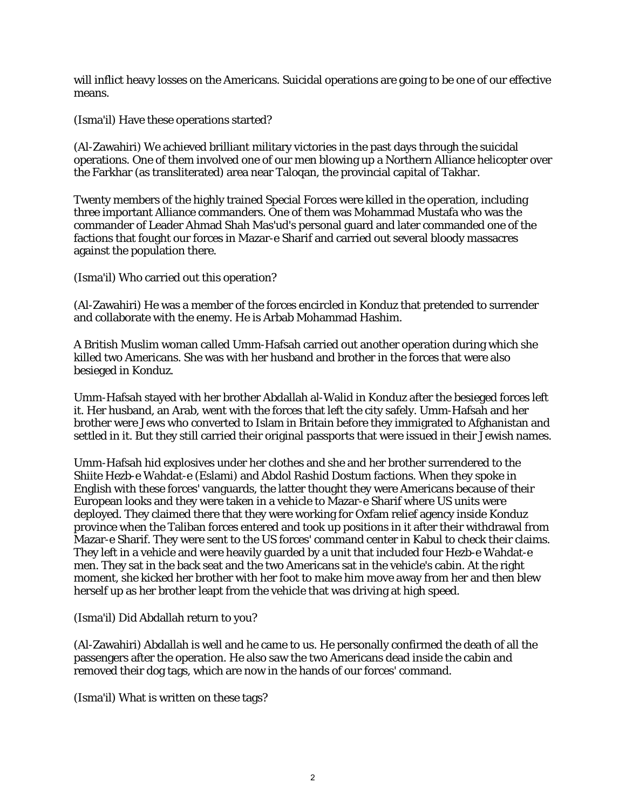will inflict heavy losses on the Americans. Suicidal operations are going to be one of our effective means.

(Isma'il) Have these operations started?

(Al-Zawahiri) We achieved brilliant military victories in the past days through the suicidal operations. One of them involved one of our men blowing up a Northern Alliance helicopter over the Farkhar (as transliterated) area near Taloqan, the provincial capital of Takhar.

Twenty members of the highly trained Special Forces were killed in the operation, including three important Alliance commanders. One of them was Mohammad Mustafa who was the commander of Leader Ahmad Shah Mas'ud's personal guard and later commanded one of the factions that fought our forces in Mazar-e Sharif and carried out several bloody massacres against the population there.

(Isma'il) Who carried out this operation?

(Al-Zawahiri) He was a member of the forces encircled in Konduz that pretended to surrender and collaborate with the enemy. He is Arbab Mohammad Hashim.

A British Muslim woman called Umm-Hafsah carried out another operation during which she killed two Americans. She was with her husband and brother in the forces that were also besieged in Konduz.

Umm-Hafsah stayed with her brother Abdallah al-Walid in Konduz after the besieged forces left it. Her husband, an Arab, went with the forces that left the city safely. Umm-Hafsah and her brother were Jews who converted to Islam in Britain before they immigrated to Afghanistan and settled in it. But they still carried their original passports that were issued in their Jewish names.

Umm-Hafsah hid explosives under her clothes and she and her brother surrendered to the Shiite Hezb-e Wahdat-e (Eslami) and Abdol Rashid Dostum factions. When they spoke in English with these forces' vanguards, the latter thought they were Americans because of their European looks and they were taken in a vehicle to Mazar-e Sharif where US units were deployed. They claimed there that they were working for Oxfam relief agency inside Konduz province when the Taliban forces entered and took up positions in it after their withdrawal from Mazar-e Sharif. They were sent to the US forces' command center in Kabul to check their claims. They left in a vehicle and were heavily guarded by a unit that included four Hezb-e Wahdat-e men. They sat in the back seat and the two Americans sat in the vehicle's cabin. At the right moment, she kicked her brother with her foot to make him move away from her and then blew herself up as her brother leapt from the vehicle that was driving at high speed.

(Isma'il) Did Abdallah return to you?

(Al-Zawahiri) Abdallah is well and he came to us. He personally confirmed the death of all the passengers after the operation. He also saw the two Americans dead inside the cabin and removed their dog tags, which are now in the hands of our forces' command.

(Isma'il) What is written on these tags?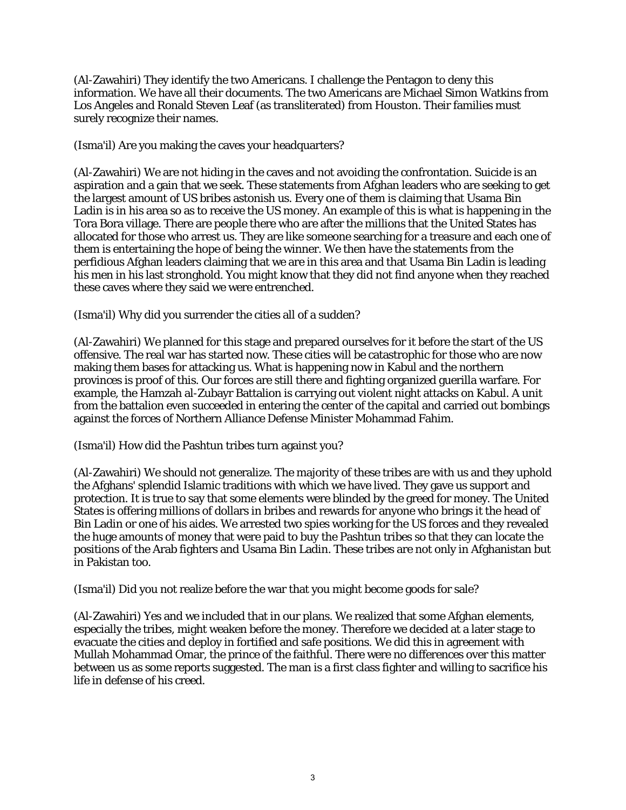(Al-Zawahiri) They identify the two Americans. I challenge the Pentagon to deny this information. We have all their documents. The two Americans are Michael Simon Watkins from Los Angeles and Ronald Steven Leaf (as transliterated) from Houston. Their families must surely recognize their names.

(Isma'il) Are you making the caves your headquarters?

(Al-Zawahiri) We are not hiding in the caves and not avoiding the confrontation. Suicide is an aspiration and a gain that we seek. These statements from Afghan leaders who are seeking to get the largest amount of US bribes astonish us. Every one of them is claiming that Usama Bin Ladin is in his area so as to receive the US money. An example of this is what is happening in the Tora Bora village. There are people there who are after the millions that the United States has allocated for those who arrest us. They are like someone searching for a treasure and each one of them is entertaining the hope of being the winner. We then have the statements from the perfidious Afghan leaders claiming that we are in this area and that Usama Bin Ladin is leading his men in his last stronghold. You might know that they did not find anyone when they reached these caves where they said we were entrenched.

## (Isma'il) Why did you surrender the cities all of a sudden?

(Al-Zawahiri) We planned for this stage and prepared ourselves for it before the start of the US offensive. The real war has started now. These cities will be catastrophic for those who are now making them bases for attacking us. What is happening now in Kabul and the northern provinces is proof of this. Our forces are still there and fighting organized guerilla warfare. For example, the Hamzah al-Zubayr Battalion is carrying out violent night attacks on Kabul. A unit from the battalion even succeeded in entering the center of the capital and carried out bombings against the forces of Northern Alliance Defense Minister Mohammad Fahim.

(Isma'il) How did the Pashtun tribes turn against you?

(Al-Zawahiri) We should not generalize. The majority of these tribes are with us and they uphold the Afghans' splendid Islamic traditions with which we have lived. They gave us support and protection. It is true to say that some elements were blinded by the greed for money. The United States is offering millions of dollars in bribes and rewards for anyone who brings it the head of Bin Ladin or one of his aides. We arrested two spies working for the US forces and they revealed the huge amounts of money that were paid to buy the Pashtun tribes so that they can locate the positions of the Arab fighters and Usama Bin Ladin. These tribes are not only in Afghanistan but in Pakistan too.

(Isma'il) Did you not realize before the war that you might become goods for sale?

(Al-Zawahiri) Yes and we included that in our plans. We realized that some Afghan elements, especially the tribes, might weaken before the money. Therefore we decided at a later stage to evacuate the cities and deploy in fortified and safe positions. We did this in agreement with Mullah Mohammad Omar, the prince of the faithful. There were no differences over this matter between us as some reports suggested. The man is a first class fighter and willing to sacrifice his life in defense of his creed.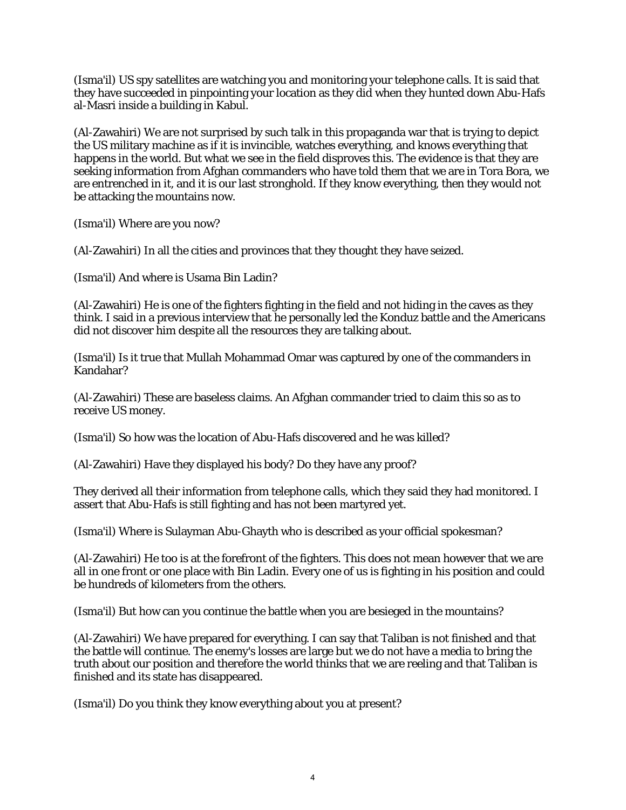(Isma'il) US spy satellites are watching you and monitoring your telephone calls. It is said that they have succeeded in pinpointing your location as they did when they hunted down Abu-Hafs al-Masri inside a building in Kabul.

(Al-Zawahiri) We are not surprised by such talk in this propaganda war that is trying to depict the US military machine as if it is invincible, watches everything, and knows everything that happens in the world. But what we see in the field disproves this. The evidence is that they are seeking information from Afghan commanders who have told them that we are in Tora Bora, we are entrenched in it, and it is our last stronghold. If they know everything, then they would not be attacking the mountains now.

(Isma'il) Where are you now?

(Al-Zawahiri) In all the cities and provinces that they thought they have seized.

(Isma'il) And where is Usama Bin Ladin?

(Al-Zawahiri) He is one of the fighters fighting in the field and not hiding in the caves as they think. I said in a previous interview that he personally led the Konduz battle and the Americans did not discover him despite all the resources they are talking about.

(Isma'il) Is it true that Mullah Mohammad Omar was captured by one of the commanders in Kandahar?

(Al-Zawahiri) These are baseless claims. An Afghan commander tried to claim this so as to receive US money.

(Isma'il) So how was the location of Abu-Hafs discovered and he was killed?

(Al-Zawahiri) Have they displayed his body? Do they have any proof?

They derived all their information from telephone calls, which they said they had monitored. I assert that Abu-Hafs is still fighting and has not been martyred yet.

(Isma'il) Where is Sulayman Abu-Ghayth who is described as your official spokesman?

(Al-Zawahiri) He too is at the forefront of the fighters. This does not mean however that we are all in one front or one place with Bin Ladin. Every one of us is fighting in his position and could be hundreds of kilometers from the others.

(Isma'il) But how can you continue the battle when you are besieged in the mountains?

(Al-Zawahiri) We have prepared for everything. I can say that Taliban is not finished and that the battle will continue. The enemy's losses are large but we do not have a media to bring the truth about our position and therefore the world thinks that we are reeling and that Taliban is finished and its state has disappeared.

(Isma'il) Do you think they know everything about you at present?